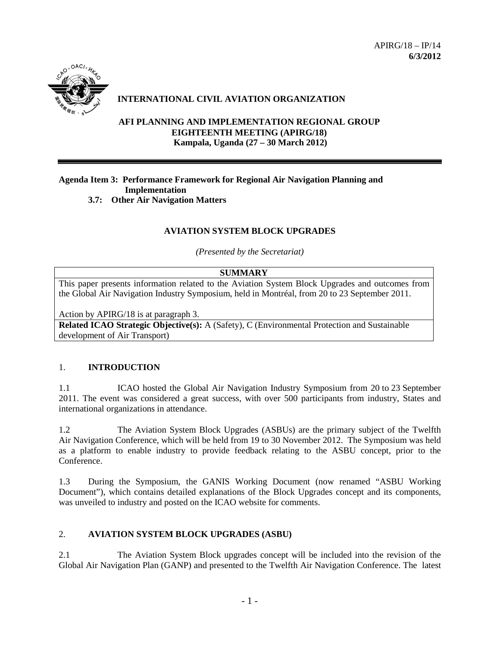

## **INTERNATIONAL CIVIL AVIATION ORGANIZATION**

**AFI PLANNING AND IMPLEMENTATION REGIONAL GROUP EIGHTEENTH MEETING (APIRG/18) Kampala, Uganda (27 – 30 March 2012)**

# **Agenda Item 3: Performance Framework for Regional Air Navigation Planning and Implementation**

#### **3.7: Other Air Navigation Matters**

## **AVIATION SYSTEM BLOCK UPGRADES**

*(Presented by the Secretariat)*

## **SUMMARY**

This paper presents information related to the Aviation System Block Upgrades and outcomes from the Global Air Navigation Industry Symposium, held in Montréal, from 20 to 23 September 2011.

Action by APIRG/18 is at paragraph 3.

**Related ICAO Strategic Objective(s):** A (Safety), C (Environmental Protection and Sustainable development of Air Transport)

#### 1. **INTRODUCTION**

1.1 ICAO hosted the Global Air Navigation Industry Symposium from 20 to 23 September 2011. The event was considered a great success, with over 500 participants from industry, States and international organizations in attendance.

1.2 The Aviation System Block Upgrades (ASBUs) are the primary subject of the Twelfth Air Navigation Conference, which will be held from 19 to 30 November 2012. The Symposium was held as a platform to enable industry to provide feedback relating to the ASBU concept, prior to the Conference.

1.3 During the Symposium, the GANIS Working Document (now renamed "ASBU Working Document"), which contains detailed explanations of the Block Upgrades concept and its components, was unveiled to industry and posted on the ICAO website for comments.

#### 2. **AVIATION SYSTEM BLOCK UPGRADES (ASBU)**

2.1 The Aviation System Block upgrades concept will be included into the revision of the Global Air Navigation Plan (GANP) and presented to the Twelfth Air Navigation Conference. The latest